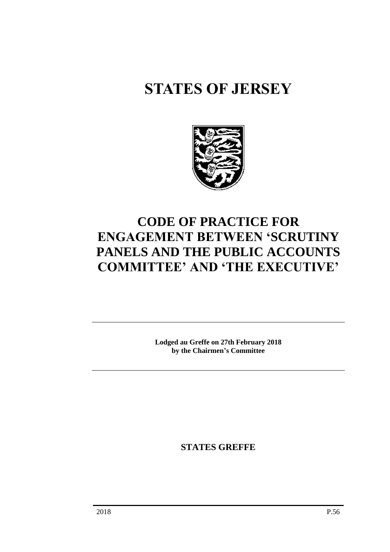# **STATES OF JERSEY**



## **CODE OF PRACTICE FOR ENGAGEMENT BETWEEN 'SCRUTINY PANELS AND THE PUBLIC ACCOUNTS COMMITTEE' AND 'THE EXECUTIVE'**

**Lodged au Greffe on 27th February 2018 by the Chairmen's Committee**

**STATES GREFFE**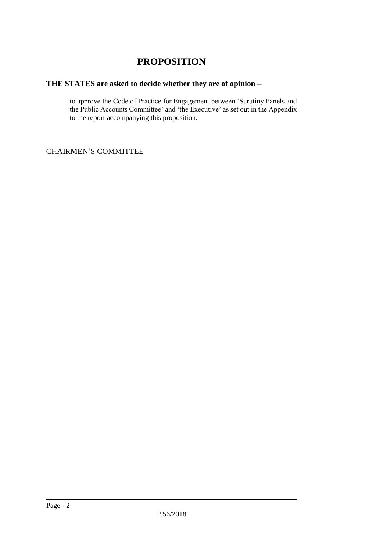### **PROPOSITION**

#### **THE STATES are asked to decide whether they are of opinion**

to approve the Code of Practice for Engagement between 'Scrutiny Panels and the Public Accounts Committee' and 'the Executive' as set out in the Appendix to the report accompanying this proposition.

CHAIRMEN'S COMMITTEE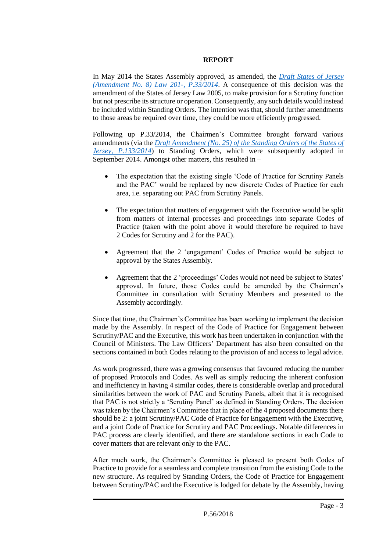#### **REPORT**

In May 2014 the States Assembly approved, as amended, the *[Draft States of Jersey](http://www.statesassembly.gov.je/Pages/Votes.aspx?VotingId=3281)  [\(Amendment No. 8\) Law 201-, P.33/2014](http://www.statesassembly.gov.je/Pages/Votes.aspx?VotingId=3281)*. A consequence of this decision was the amendment of the States of Jersey Law 2005, to make provision for a Scrutiny function but not prescribe its structure or operation. Consequently, any such details would instead be included within Standing Orders. The intention was that, should further amendments to those areas be required over time, they could be more efficiently progressed.

Following up P.33/2014, the Chairmen's Committee brought forward various amendments (via the *[Draft Amendment \(No. 25\) of the Standing Orders of the States of](http://www.statesassembly.gov.je/Pages/Votes.aspx?VotingId=3658)  [Jersey, P.133/2014](http://www.statesassembly.gov.je/Pages/Votes.aspx?VotingId=3658)*) to Standing Orders, which were subsequently adopted in September 2014. Amongst other matters, this resulted in –

- The expectation that the existing single 'Code of Practice for Scrutiny Panels and the PAC' would be replaced by new discrete Codes of Practice for each area, i.e. separating out PAC from Scrutiny Panels.
- The expectation that matters of engagement with the Executive would be split from matters of internal processes and proceedings into separate Codes of Practice (taken with the point above it would therefore be required to have 2 Codes for Scrutiny and 2 for the PAC).
- Agreement that the 2 'engagement' Codes of Practice would be subject to approval by the States Assembly.
- Agreement that the 2 'proceedings' Codes would not need be subject to States' approval. In future, those Codes could be amended by the Chairmen's Committee in consultation with Scrutiny Members and presented to the Assembly accordingly.

Since that time, the Chairmen's Committee has been working to implement the decision made by the Assembly. In respect of the Code of Practice for Engagement between Scrutiny/PAC and the Executive, this work has been undertaken in conjunction with the Council of Ministers. The Law Officers' Department has also been consulted on the sections contained in both Codes relating to the provision of and access to legal advice.

As work progressed, there was a growing consensus that favoured reducing the number of proposed Protocols and Codes. As well as simply reducing the inherent confusion and inefficiency in having 4 similar codes, there is considerable overlap and procedural similarities between the work of PAC and Scrutiny Panels, albeit that it is recognised that PAC is not strictly a 'Scrutiny Panel' as defined in Standing Orders. The decision was taken by the Chairmen's Committee that in place of the 4 proposed documents there should be 2: a joint Scrutiny/PAC Code of Practice for Engagement with the Executive, and a joint Code of Practice for Scrutiny and PAC Proceedings. Notable differences in PAC process are clearly identified, and there are standalone sections in each Code to cover matters that are relevant only to the PAC.

After much work, the Chairmen's Committee is pleased to present both Codes of Practice to provide for a seamless and complete transition from the existing Code to the new structure. As required by Standing Orders, the Code of Practice for Engagement between Scrutiny/PAC and the Executive is lodged for debate by the Assembly, having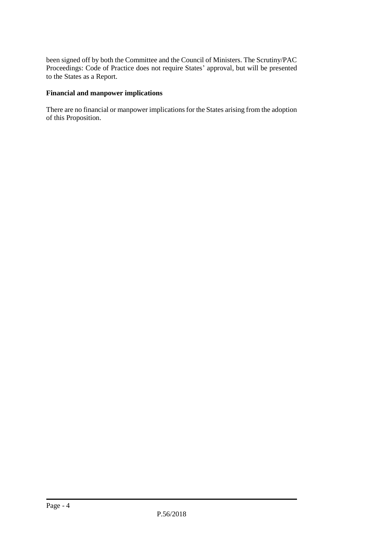been signed off by both the Committee and the Council of Ministers. The Scrutiny/PAC Proceedings: Code of Practice does not require States' approval, but will be presented to the States as a Report.

#### **Financial and manpower implications**

There are no financial or manpower implications for the States arising from the adoption of this Proposition.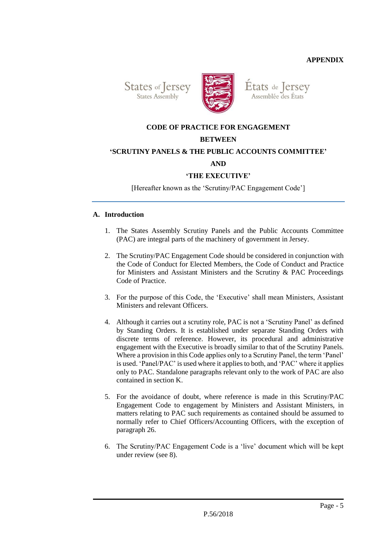**APPENDIX**

States of Jersey **States Assembly** 



Etats de Jersey Assemblée des États

#### **CODE OF PRACTICE FOR ENGAGEMENT**

#### **BETWEEN**

#### **'SCRUTINY PANELS & THE PUBLIC ACCOUNTS COMMITTEE'**

#### **AND**

#### **'THE EXECUTIVE'**

[Hereafter known as the 'Scrutiny/PAC Engagement Code']

#### **A. Introduction**

- 1. The States Assembly Scrutiny Panels and the Public Accounts Committee (PAC) are integral parts of the machinery of government in Jersey.
- 2. The Scrutiny/PAC Engagement Code should be considered in conjunction with the Code of Conduct for Elected Members, the Code of Conduct and Practice for Ministers and Assistant Ministers and the Scrutiny & PAC Proceedings Code of Practice.
- 3. For the purpose of this Code, the 'Executive' shall mean Ministers, Assistant Ministers and relevant Officers.
- 4. Although it carries out a scrutiny role, PAC is not a 'Scrutiny Panel' as defined by Standing Orders. It is established under separate Standing Orders with discrete terms of reference. However, its procedural and administrative engagement with the Executive is broadly similar to that of the Scrutiny Panels. Where a provision in this Code applies only to a Scrutiny Panel, the term 'Panel' is used. 'Panel/PAC' is used where it applies to both, and 'PAC' where it applies only to PAC. Standalone paragraphs relevant only to the work of PAC are also contained in section K.
- 5. For the avoidance of doubt, where reference is made in this Scrutiny/PAC Engagement Code to engagement by Ministers and Assistant Ministers, in matters relating to PAC such requirements as contained should be assumed to normally refer to Chief Officers/Accounting Officers, with the exception of paragraph 26.
- 6. The Scrutiny/PAC Engagement Code is a 'live' document which will be kept under review (see 8).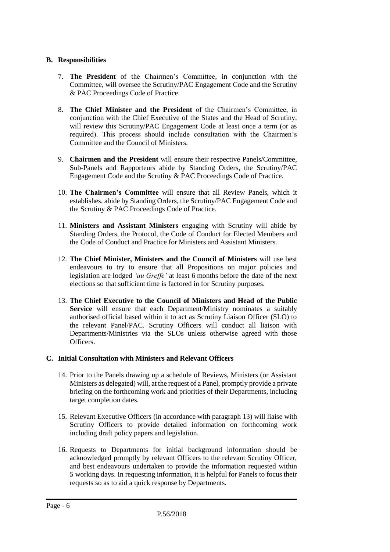#### **B. Responsibilities**

- 7. **The President** of the Chairmen's Committee, in conjunction with the Committee, will oversee the Scrutiny/PAC Engagement Code and the Scrutiny & PAC Proceedings Code of Practice.
- 8. **The Chief Minister and the President** of the Chairmen's Committee, in conjunction with the Chief Executive of the States and the Head of Scrutiny, will review this Scrutiny/PAC Engagement Code at least once a term (or as required). This process should include consultation with the Chairmen's Committee and the Council of Ministers.
- 9. **Chairmen and the President** will ensure their respective Panels/Committee, Sub-Panels and Rapporteurs abide by Standing Orders, the Scrutiny/PAC Engagement Code and the Scrutiny & PAC Proceedings Code of Practice.
- 10. **The Chairmen's Committee** will ensure that all Review Panels, which it establishes, abide by Standing Orders, the Scrutiny/PAC Engagement Code and the Scrutiny & PAC Proceedings Code of Practice.
- 11. **Ministers and Assistant Ministers** engaging with Scrutiny will abide by Standing Orders, the Protocol, the Code of Conduct for Elected Members and the Code of Conduct and Practice for Ministers and Assistant Ministers.
- 12. **The Chief Minister, Ministers and the Council of Ministers** will use best endeavours to try to ensure that all Propositions on major policies and legislation are lodged *'au Greffe'* at least 6 months before the date of the next elections so that sufficient time is factored in for Scrutiny purposes.
- 13. **The Chief Executive to the Council of Ministers and Head of the Public Service** will ensure that each Department/Ministry nominates a suitably authorised official based within it to act as Scrutiny Liaison Officer (SLO) to the relevant Panel/PAC. Scrutiny Officers will conduct all liaison with Departments/Ministries via the SLOs unless otherwise agreed with those Officers.

#### **C. Initial Consultation with Ministers and Relevant Officers**

- 14. Prior to the Panels drawing up a schedule of Reviews, Ministers (or Assistant Ministers as delegated) will, at the request of a Panel, promptly provide a private briefing on the forthcoming work and priorities of their Departments, including target completion dates.
- 15. Relevant Executive Officers (in accordance with paragraph 13) will liaise with Scrutiny Officers to provide detailed information on forthcoming work including draft policy papers and legislation.
- 16. Requests to Departments for initial background information should be acknowledged promptly by relevant Officers to the relevant Scrutiny Officer, and best endeavours undertaken to provide the information requested within 5 working days. In requesting information, it is helpful for Panels to focus their requests so as to aid a quick response by Departments.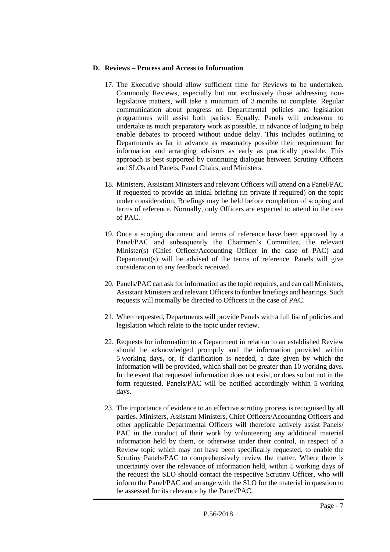#### **D. Reviews – Process and Access to Information**

- 17. The Executive should allow sufficient time for Reviews to be undertaken. Commonly Reviews, especially but not exclusively those addressing nonlegislative matters, will take a minimum of 3 months to complete. Regular communication about progress on Departmental policies and legislation programmes will assist both parties. Equally, Panels will endeavour to undertake as much preparatory work as possible, in advance of lodging to help enable debates to proceed without undue delay. This includes outlining to Departments as far in advance as reasonably possible their requirement for information and arranging advisors as early as practically possible. This approach is best supported by continuing dialogue between Scrutiny Officers and SLOs and Panels, Panel Chairs, and Ministers.
- 18. Ministers, Assistant Ministers and relevant Officers will attend on a Panel/PAC if requested to provide an initial briefing (in private if required) on the topic under consideration. Briefings may be held before completion of scoping and terms of reference. Normally, only Officers are expected to attend in the case of PAC.
- 19. Once a scoping document and terms of reference have been approved by a Panel/PAC and subsequently the Chairmen's Committee, the relevant Minister(s) (Chief Officer/Accounting Officer in the case of PAC) and Department(s) will be advised of the terms of reference. Panels will give consideration to any feedback received.
- 20. Panels/PAC can ask for information as the topic requires, and can call Ministers, Assistant Ministers and relevant Officers to further briefings and hearings. Such requests will normally be directed to Officers in the case of PAC.
- 21. When requested, Departments will provide Panels with a full list of policies and legislation which relate to the topic under review.
- 22. Requests for information to a Department in relation to an established Review should be acknowledged promptly and the information provided within 5 working days**,** or, if clarification is needed, a date given by which the information will be provided, which shall not be greater than 10 working days. In the event that requested information does not exist, or does so but not in the form requested, Panels/PAC will be notified accordingly within 5 working days.
- 23. The importance of evidence to an effective scrutiny process is recognised by all parties. Ministers, Assistant Ministers, Chief Officers/Accounting Officers and other applicable Departmental Officers will therefore actively assist Panels/ PAC in the conduct of their work by volunteering any additional material information held by them, or otherwise under their control, in respect of a Review topic which may not have been specifically requested, to enable the Scrutiny Panels/PAC to comprehensively review the matter. Where there is uncertainty over the relevance of information held, within 5 working days of the request the SLO should contact the respective Scrutiny Officer, who will inform the Panel/PAC and arrange with the SLO for the material in question to be assessed for its relevance by the Panel/PAC.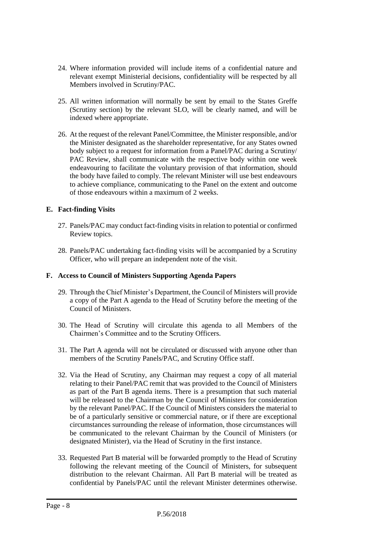- 24. Where information provided will include items of a confidential nature and relevant exempt Ministerial decisions, confidentiality will be respected by all Members involved in Scrutiny/PAC.
- 25. All written information will normally be sent by email to the States Greffe (Scrutiny section) by the relevant SLO, will be clearly named, and will be indexed where appropriate.
- 26. At the request of the relevant Panel/Committee, the Minister responsible, and/or the Minister designated as the shareholder representative, for any States owned body subject to a request for information from a Panel/PAC during a Scrutiny/ PAC Review, shall communicate with the respective body within one week endeavouring to facilitate the voluntary provision of that information, should the body have failed to comply. The relevant Minister will use best endeavours to achieve compliance, communicating to the Panel on the extent and outcome of those endeavours within a maximum of 2 weeks.

#### **E. Fact-finding Visits**

- 27. Panels/PAC may conduct fact-finding visits in relation to potential or confirmed Review topics.
- 28. Panels/PAC undertaking fact-finding visits will be accompanied by a Scrutiny Officer, who will prepare an independent note of the visit.

#### **F. Access to Council of Ministers Supporting Agenda Papers**

- 29. Through the Chief Minister's Department, the Council of Ministers will provide a copy of the Part A agenda to the Head of Scrutiny before the meeting of the Council of Ministers.
- 30. The Head of Scrutiny will circulate this agenda to all Members of the Chairmen's Committee and to the Scrutiny Officers.
- 31. The Part A agenda will not be circulated or discussed with anyone other than members of the Scrutiny Panels/PAC, and Scrutiny Office staff.
- 32. Via the Head of Scrutiny, any Chairman may request a copy of all material relating to their Panel/PAC remit that was provided to the Council of Ministers as part of the Part B agenda items. There is a presumption that such material will be released to the Chairman by the Council of Ministers for consideration by the relevant Panel/PAC. If the Council of Ministers considers the material to be of a particularly sensitive or commercial nature, or if there are exceptional circumstances surrounding the release of information, those circumstances will be communicated to the relevant Chairman by the Council of Ministers (or designated Minister), via the Head of Scrutiny in the first instance.
- 33. Requested Part B material will be forwarded promptly to the Head of Scrutiny following the relevant meeting of the Council of Ministers, for subsequent distribution to the relevant Chairman. All Part B material will be treated as confidential by Panels/PAC until the relevant Minister determines otherwise.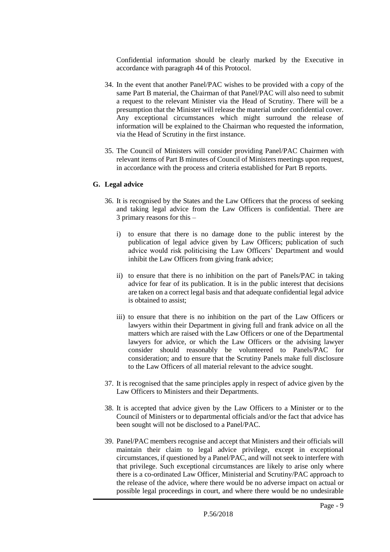Confidential information should be clearly marked by the Executive in accordance with paragraph 44 of this Protocol.

- 34. In the event that another Panel/PAC wishes to be provided with a copy of the same Part B material, the Chairman of that Panel/PAC will also need to submit a request to the relevant Minister via the Head of Scrutiny. There will be a presumption that the Minister will release the material under confidential cover. Any exceptional circumstances which might surround the release of information will be explained to the Chairman who requested the information, via the Head of Scrutiny in the first instance.
- 35. The Council of Ministers will consider providing Panel/PAC Chairmen with relevant items of Part B minutes of Council of Ministers meetings upon request, in accordance with the process and criteria established for Part B reports.

#### **G. Legal advice**

- 36. It is recognised by the States and the Law Officers that the process of seeking and taking legal advice from the Law Officers is confidential. There are 3 primary reasons for this –
	- i) to ensure that there is no damage done to the public interest by the publication of legal advice given by Law Officers; publication of such advice would risk politicising the Law Officers' Department and would inhibit the Law Officers from giving frank advice;
	- ii) to ensure that there is no inhibition on the part of Panels/PAC in taking advice for fear of its publication. It is in the public interest that decisions are taken on a correct legal basis and that adequate confidential legal advice is obtained to assist;
	- iii) to ensure that there is no inhibition on the part of the Law Officers or lawyers within their Department in giving full and frank advice on all the matters which are raised with the Law Officers or one of the Departmental lawyers for advice, or which the Law Officers or the advising lawyer consider should reasonably be volunteered to Panels/PAC for consideration; and to ensure that the Scrutiny Panels make full disclosure to the Law Officers of all material relevant to the advice sought.
- 37. It is recognised that the same principles apply in respect of advice given by the Law Officers to Ministers and their Departments.
- 38. It is accepted that advice given by the Law Officers to a Minister or to the Council of Ministers or to departmental officials and/or the fact that advice has been sought will not be disclosed to a Panel/PAC.
- 39. Panel/PAC members recognise and accept that Ministers and their officials will maintain their claim to legal advice privilege, except in exceptional circumstances, if questioned by a Panel/PAC, and will not seek to interfere with that privilege. Such exceptional circumstances are likely to arise only where there is a co-ordinated Law Officer, Ministerial and Scrutiny/PAC approach to the release of the advice, where there would be no adverse impact on actual or possible legal proceedings in court, and where there would be no undesirable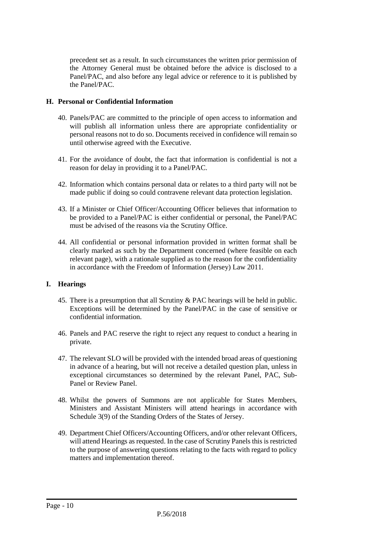precedent set as a result. In such circumstances the written prior permission of the Attorney General must be obtained before the advice is disclosed to a Panel/PAC, and also before any legal advice or reference to it is published by the Panel/PAC.

#### **H. Personal or Confidential Information**

- 40. Panels/PAC are committed to the principle of open access to information and will publish all information unless there are appropriate confidentiality or personal reasons not to do so. Documents received in confidence will remain so until otherwise agreed with the Executive.
- 41. For the avoidance of doubt, the fact that information is confidential is not a reason for delay in providing it to a Panel/PAC.
- 42. Information which contains personal data or relates to a third party will not be made public if doing so could contravene relevant data protection legislation.
- 43. If a Minister or Chief Officer/Accounting Officer believes that information to be provided to a Panel/PAC is either confidential or personal, the Panel/PAC must be advised of the reasons via the Scrutiny Office.
- 44. All confidential or personal information provided in written format shall be clearly marked as such by the Department concerned (where feasible on each relevant page), with a rationale supplied as to the reason for the confidentiality in accordance with the Freedom of Information (Jersey) Law 2011.

#### **I. Hearings**

- 45. There is a presumption that all Scrutiny & PAC hearings will be held in public. Exceptions will be determined by the Panel/PAC in the case of sensitive or confidential information.
- 46. Panels and PAC reserve the right to reject any request to conduct a hearing in private.
- 47. The relevant SLO will be provided with the intended broad areas of questioning in advance of a hearing, but will not receive a detailed question plan, unless in exceptional circumstances so determined by the relevant Panel, PAC, Sub-Panel or Review Panel.
- 48. Whilst the powers of Summons are not applicable for States Members, Ministers and Assistant Ministers will attend hearings in accordance with Schedule 3(9) of the Standing Orders of the States of Jersey.
- 49. Department Chief Officers/Accounting Officers, and/or other relevant Officers, will attend Hearings as requested. In the case of Scrutiny Panels this is restricted to the purpose of answering questions relating to the facts with regard to policy matters and implementation thereof.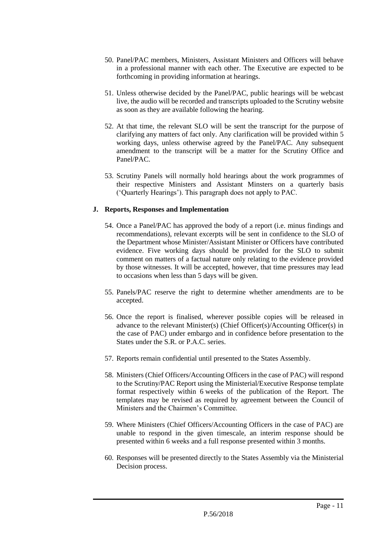- 50. Panel/PAC members, Ministers, Assistant Ministers and Officers will behave in a professional manner with each other. The Executive are expected to be forthcoming in providing information at hearings.
- 51. Unless otherwise decided by the Panel/PAC, public hearings will be webcast live, the audio will be recorded and transcripts uploaded to the Scrutiny website as soon as they are available following the hearing.
- 52. At that time, the relevant SLO will be sent the transcript for the purpose of clarifying any matters of fact only. Any clarification will be provided within 5 working days, unless otherwise agreed by the Panel/PAC. Any subsequent amendment to the transcript will be a matter for the Scrutiny Office and Panel/PAC.
- 53. Scrutiny Panels will normally hold hearings about the work programmes of their respective Ministers and Assistant Minsters on a quarterly basis ('Quarterly Hearings'). This paragraph does not apply to PAC.

#### **J. Reports, Responses and Implementation**

- 54. Once a Panel/PAC has approved the body of a report (i.e. minus findings and recommendations), relevant excerpts will be sent in confidence to the SLO of the Department whose Minister/Assistant Minister or Officers have contributed evidence. Five working days should be provided for the SLO to submit comment on matters of a factual nature only relating to the evidence provided by those witnesses. It will be accepted, however, that time pressures may lead to occasions when less than 5 days will be given.
- 55. Panels/PAC reserve the right to determine whether amendments are to be accepted.
- 56. Once the report is finalised, wherever possible copies will be released in advance to the relevant Minister(s) (Chief Officer(s)/Accounting Officer(s) in the case of PAC) under embargo and in confidence before presentation to the States under the S.R. or P.A.C. series.
- 57. Reports remain confidential until presented to the States Assembly.
- 58. Ministers (Chief Officers/Accounting Officers in the case of PAC) will respond to the Scrutiny/PAC Report using the Ministerial/Executive Response template format respectively within 6 weeks of the publication of the Report. The templates may be revised as required by agreement between the Council of Ministers and the Chairmen's Committee.
- 59. Where Ministers (Chief Officers/Accounting Officers in the case of PAC) are unable to respond in the given timescale, an interim response should be presented within 6 weeks and a full response presented within 3 months.
- 60. Responses will be presented directly to the States Assembly via the Ministerial Decision process.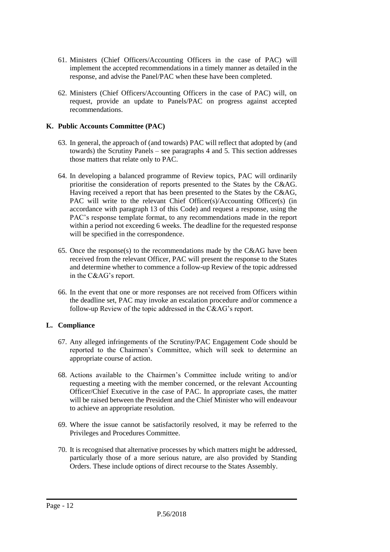- 61. Ministers (Chief Officers/Accounting Officers in the case of PAC) will implement the accepted recommendations in a timely manner as detailed in the response, and advise the Panel/PAC when these have been completed.
- 62. Ministers (Chief Officers/Accounting Officers in the case of PAC) will, on request, provide an update to Panels/PAC on progress against accepted recommendations.

#### **K. Public Accounts Committee (PAC)**

- 63. In general, the approach of (and towards) PAC will reflect that adopted by (and towards) the Scrutiny Panels – see paragraphs 4 and 5. This section addresses those matters that relate only to PAC.
- 64. In developing a balanced programme of Review topics, PAC will ordinarily prioritise the consideration of reports presented to the States by the C&AG. Having received a report that has been presented to the States by the C&AG, PAC will write to the relevant Chief Officer(s)/Accounting Officer(s) (in accordance with paragraph 13 of this Code) and request a response, using the PAC's response template format, to any recommendations made in the report within a period not exceeding 6 weeks. The deadline for the requested response will be specified in the correspondence.
- 65. Once the response(s) to the recommendations made by the C&AG have been received from the relevant Officer, PAC will present the response to the States and determine whether to commence a follow-up Review of the topic addressed in the C&AG's report.
- 66. In the event that one or more responses are not received from Officers within the deadline set, PAC may invoke an escalation procedure and/or commence a follow-up Review of the topic addressed in the C&AG's report.

#### **L. Compliance**

- 67. Any alleged infringements of the Scrutiny/PAC Engagement Code should be reported to the Chairmen's Committee, which will seek to determine an appropriate course of action.
- 68. Actions available to the Chairmen's Committee include writing to and/or requesting a meeting with the member concerned, or the relevant Accounting Officer/Chief Executive in the case of PAC. In appropriate cases, the matter will be raised between the President and the Chief Minister who will endeavour to achieve an appropriate resolution.
- 69. Where the issue cannot be satisfactorily resolved, it may be referred to the Privileges and Procedures Committee.
- 70. It is recognised that alternative processes by which matters might be addressed, particularly those of a more serious nature, are also provided by Standing Orders. These include options of direct recourse to the States Assembly.